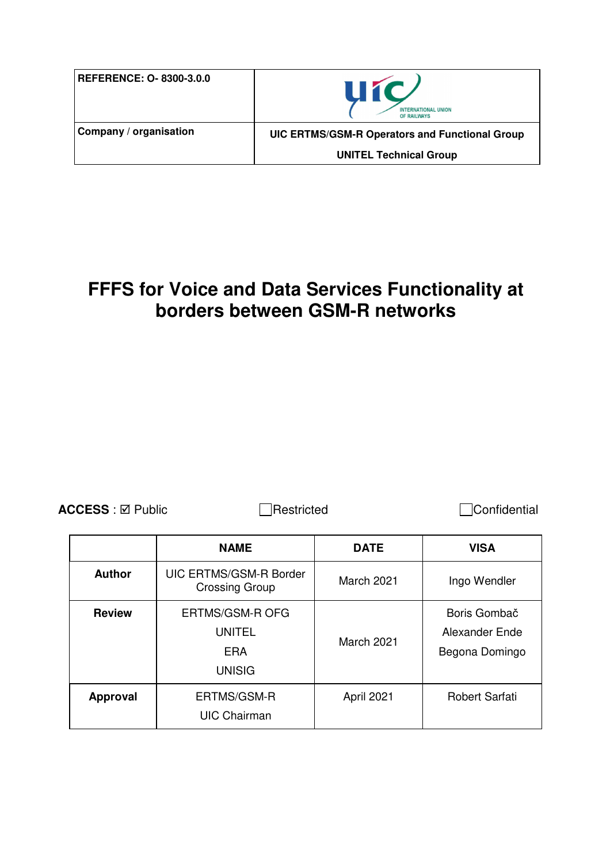| <b>REFERENCE: 0- 8300-3.0.0</b> | <b>UIC</b><br><b>INTERNATIONAL UNION</b><br>OF RAILWAYS                                |
|---------------------------------|----------------------------------------------------------------------------------------|
| Company / organisation          | <b>UIC ERTMS/GSM-R Operators and Functional Group</b><br><b>UNITEL Technical Group</b> |

# **FFFS for Voice and Data Services Functionality at borders between GSM-R networks**

**ACCESS** : ⊠ Public Restricted Confidential

|                 | <b>NAME</b>                                                            | <b>DATE</b>                                                           | <b>VISA</b>           |
|-----------------|------------------------------------------------------------------------|-----------------------------------------------------------------------|-----------------------|
| <b>Author</b>   | <b>UIC ERTMS/GSM-R Border</b><br><b>Crossing Group</b>                 | March 2021                                                            | Ingo Wendler          |
| <b>Review</b>   | <b>ERTMS/GSM-R OFG</b><br><b>UNITEL</b><br><b>ERA</b><br><b>UNISIG</b> | Boris Gombač<br><b>Alexander Ende</b><br>March 2021<br>Begona Domingo |                       |
| <b>Approval</b> | ERTMS/GSM-R<br><b>UIC Chairman</b>                                     | April 2021                                                            | <b>Robert Sarfati</b> |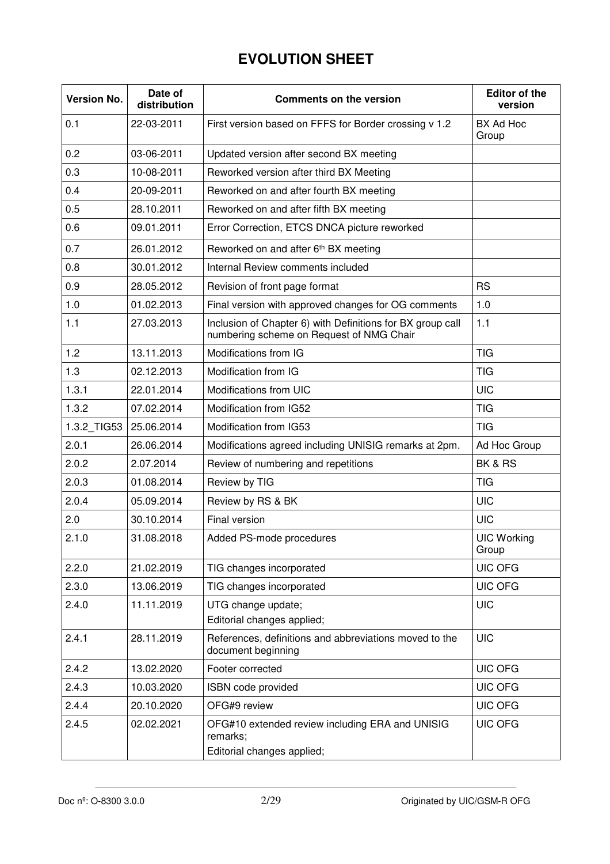### **EVOLUTION SHEET**

| <b>Version No.</b> | Date of<br>distribution | <b>Comments on the version</b>                                                                         | <b>Editor of the</b><br>version |
|--------------------|-------------------------|--------------------------------------------------------------------------------------------------------|---------------------------------|
| 0.1                | 22-03-2011              | First version based on FFFS for Border crossing v 1.2                                                  | BX Ad Hoc<br>Group              |
| 0.2                | 03-06-2011              | Updated version after second BX meeting                                                                |                                 |
| 0.3                | 10-08-2011              | Reworked version after third BX Meeting                                                                |                                 |
| 0.4                | 20-09-2011              | Reworked on and after fourth BX meeting                                                                |                                 |
| 0.5                | 28.10.2011              | Reworked on and after fifth BX meeting                                                                 |                                 |
| 0.6                | 09.01.2011              | Error Correction, ETCS DNCA picture reworked                                                           |                                 |
| 0.7                | 26.01.2012              | Reworked on and after 6th BX meeting                                                                   |                                 |
| 0.8                | 30.01.2012              | Internal Review comments included                                                                      |                                 |
| 0.9                | 28.05.2012              | Revision of front page format                                                                          | <b>RS</b>                       |
| 1.0                | 01.02.2013              | Final version with approved changes for OG comments                                                    | 1.0                             |
| 1.1                | 27.03.2013              | Inclusion of Chapter 6) with Definitions for BX group call<br>numbering scheme on Request of NMG Chair | 1.1                             |
| 1.2                | 13.11.2013              | Modifications from IG                                                                                  | <b>TIG</b>                      |
| 1.3                | 02.12.2013              | Modification from IG                                                                                   | <b>TIG</b>                      |
| 1.3.1              | 22.01.2014              | Modifications from UIC                                                                                 | <b>UIC</b>                      |
| 1.3.2              | 07.02.2014              | Modification from IG52                                                                                 | <b>TIG</b>                      |
| 1.3.2 TIG53        | 25.06.2014              | Modification from IG53                                                                                 | <b>TIG</b>                      |
| 2.0.1              | 26.06.2014              | Modifications agreed including UNISIG remarks at 2pm.                                                  | Ad Hoc Group                    |
| 2.0.2              | 2.07.2014               | Review of numbering and repetitions                                                                    | BK & RS                         |
| 2.0.3              | 01.08.2014              | Review by TIG                                                                                          | <b>TIG</b>                      |
| 2.0.4              | 05.09.2014              | Review by RS & BK                                                                                      | <b>UIC</b>                      |
| 2.0                | 30.10.2014              | Final version                                                                                          | <b>UIC</b>                      |
| 2.1.0              | 31.08.2018              | Added PS-mode procedures                                                                               | <b>UIC Working</b><br>Group     |
| 2.2.0              | 21.02.2019              | TIG changes incorporated                                                                               | UIC OFG                         |
| 2.3.0              | 13.06.2019              | TIG changes incorporated                                                                               | UIC OFG                         |
| 2.4.0              | 11.11.2019              | UTG change update;<br>Editorial changes applied;                                                       | <b>UIC</b>                      |
| 2.4.1              | 28.11.2019              | References, definitions and abbreviations moved to the<br>document beginning                           | <b>UIC</b>                      |
| 2.4.2              | 13.02.2020              | Footer corrected                                                                                       | UIC OFG                         |
| 2.4.3              | 10.03.2020              | ISBN code provided                                                                                     | UIC OFG                         |
| 2.4.4              | 20.10.2020              | OFG#9 review                                                                                           | UIC OFG                         |
| 2.4.5              | 02.02.2021              | OFG#10 extended review including ERA and UNISIG<br>remarks;<br>Editorial changes applied;              | UIC OFG                         |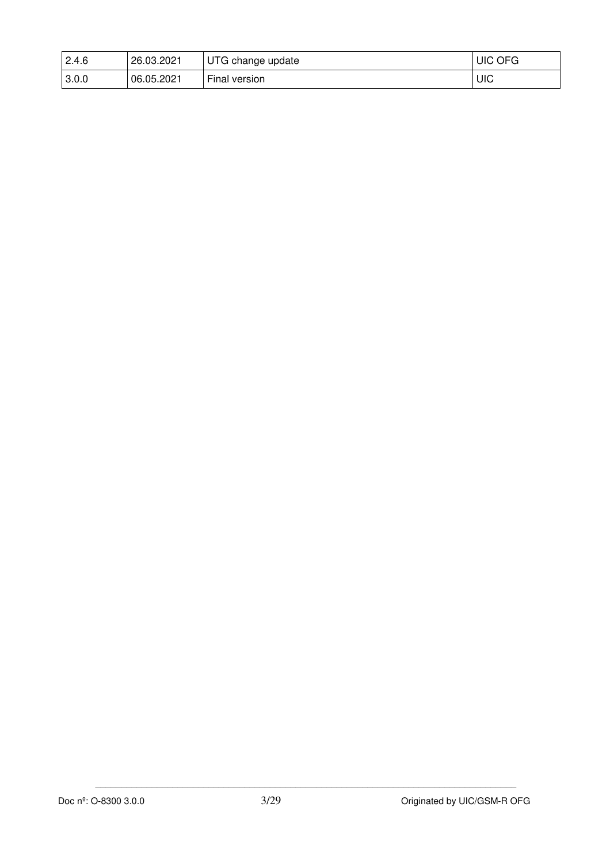| 2.4.6 | 26.03.2021 | UTG change update | OFG<br>UIC |
|-------|------------|-------------------|------------|
| 3.0.0 | 06.05.2021 | Final version     | UIC        |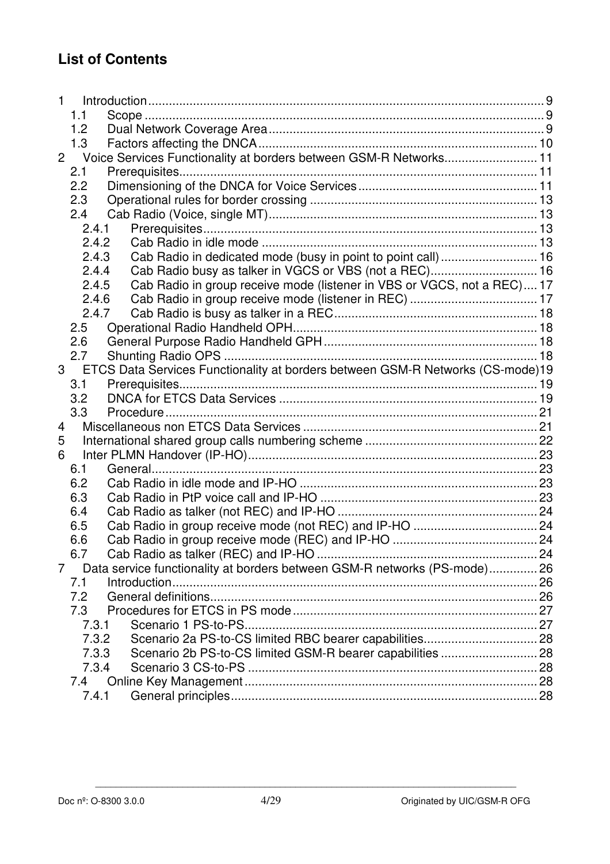#### **List of Contents**

| $\mathbf{1}$   |                |                                                                                |  |
|----------------|----------------|--------------------------------------------------------------------------------|--|
|                | 1.1            |                                                                                |  |
|                | 1.2            |                                                                                |  |
|                | 1.3            |                                                                                |  |
| $\overline{2}$ |                | Voice Services Functionality at borders between GSM-R Networks 11              |  |
|                | 2.1            | Prerequisites                                                                  |  |
|                | 2.2            |                                                                                |  |
|                | 2.3            |                                                                                |  |
|                | 2.4            |                                                                                |  |
|                | 2.4.1          |                                                                                |  |
|                | 2.4.2          |                                                                                |  |
|                | 2.4.3          | Cab Radio in dedicated mode (busy in point to point call)  16                  |  |
|                | 2.4.4          | Cab Radio busy as talker in VGCS or VBS (not a REC) 16                         |  |
|                | 2.4.5          | Cab Radio in group receive mode (listener in VBS or VGCS, not a REC) 17        |  |
|                | 2.4.6          |                                                                                |  |
|                | 2.4.7          |                                                                                |  |
|                | 2.5            |                                                                                |  |
|                | 2.6            |                                                                                |  |
|                | 2.7            |                                                                                |  |
|                | 3 <sup>1</sup> | ETCS Data Services Functionality at borders between GSM-R Networks (CS-mode)19 |  |
|                | 3.1            |                                                                                |  |
|                | 3.2            |                                                                                |  |
|                | 3.3            |                                                                                |  |
| 4              |                |                                                                                |  |
| 5              |                |                                                                                |  |
| 6              |                |                                                                                |  |
|                | 6.1            |                                                                                |  |
|                | 6.2            |                                                                                |  |
|                | 6.3            |                                                                                |  |
|                | 6.4            |                                                                                |  |
|                | 6.5            |                                                                                |  |
|                | 6.6            |                                                                                |  |
|                | 6.7            |                                                                                |  |
| $\overline{7}$ |                | Data service functionality at borders between GSM-R networks (PS-mode) 26      |  |
|                | 7.1            |                                                                                |  |
|                | 7.2            |                                                                                |  |
|                | 7.3            |                                                                                |  |
|                | 7.3.1          |                                                                                |  |
|                | 7.3.2          |                                                                                |  |
|                | 7.3.3          | Scenario 2b PS-to-CS limited GSM-R bearer capabilities  28                     |  |
|                | 7.3.4          |                                                                                |  |
|                | 7.4            |                                                                                |  |
|                | 7.4.1          |                                                                                |  |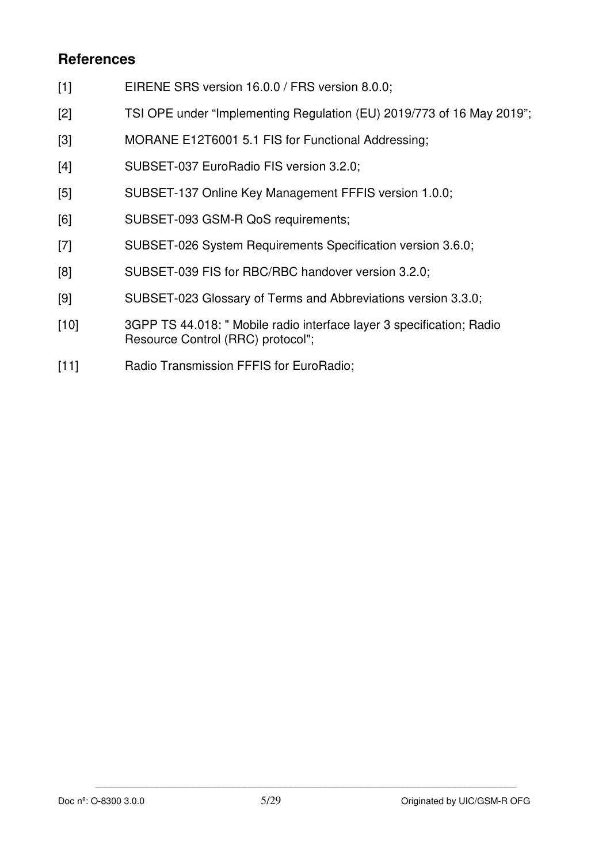#### **References**

- [1] EIRENE SRS version 16.0.0 / FRS version 8.0.0;
- [2] TSI OPE under "Implementing Regulation (EU) 2019/773 of 16 May 2019";
- [3] MORANE E12T6001 5.1 FIS for Functional Addressing;
- [4] SUBSET-037 EuroRadio FIS version 3.2.0;
- [5] SUBSET-137 Online Key Management FFFIS version 1.0.0;
- [6] SUBSET-093 GSM-R QoS requirements;
- [7] SUBSET-026 System Requirements Specification version 3.6.0;
- [8] SUBSET-039 FIS for RBC/RBC handover version 3.2.0;
- [9] SUBSET-023 Glossary of Terms and Abbreviations version 3.3.0;
- [10] 3GPP TS 44.018: " Mobile radio interface layer 3 specification; Radio Resource Control (RRC) protocol";
- [11] Radio Transmission FFFIS for EuroRadio;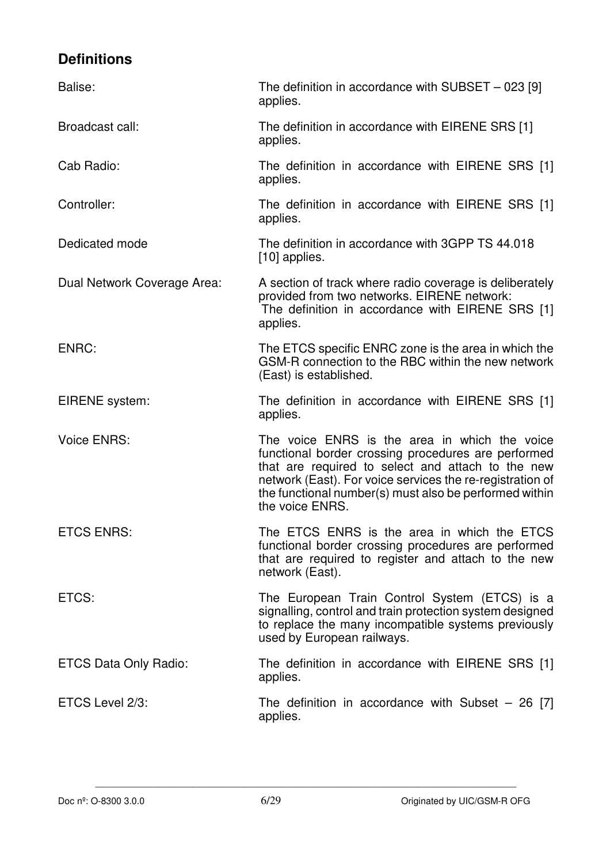#### **Definitions**

| Balise:                      | The definition in accordance with SUBSET $-$ 023 [9]<br>applies.                                                                                                                                                                                                                                    |
|------------------------------|-----------------------------------------------------------------------------------------------------------------------------------------------------------------------------------------------------------------------------------------------------------------------------------------------------|
| Broadcast call:              | The definition in accordance with EIRENE SRS [1]<br>applies.                                                                                                                                                                                                                                        |
| Cab Radio:                   | The definition in accordance with EIRENE SRS [1]<br>applies.                                                                                                                                                                                                                                        |
| Controller:                  | The definition in accordance with EIRENE SRS [1]<br>applies.                                                                                                                                                                                                                                        |
| Dedicated mode               | The definition in accordance with 3GPP TS 44.018<br>[10] applies.                                                                                                                                                                                                                                   |
| Dual Network Coverage Area:  | A section of track where radio coverage is deliberately<br>provided from two networks. EIRENE network:<br>The definition in accordance with EIRENE SRS [1]<br>applies.                                                                                                                              |
| ENRC:                        | The ETCS specific ENRC zone is the area in which the<br>GSM-R connection to the RBC within the new network<br>(East) is established.                                                                                                                                                                |
| EIRENE system:               | The definition in accordance with EIRENE SRS [1]<br>applies.                                                                                                                                                                                                                                        |
| <b>Voice ENRS:</b>           | The voice ENRS is the area in which the voice<br>functional border crossing procedures are performed<br>that are required to select and attach to the new<br>network (East). For voice services the re-registration of<br>the functional number(s) must also be performed within<br>the voice ENRS. |
| <b>ETCS ENRS:</b>            | The ETCS ENRS is the area in which the ETCS<br>functional border crossing procedures are performed<br>that are required to register and attach to the new<br>network (East).                                                                                                                        |
| ETCS:                        | The European Train Control System (ETCS) is a<br>signalling, control and train protection system designed<br>to replace the many incompatible systems previously<br>used by European railways.                                                                                                      |
| <b>ETCS Data Only Radio:</b> | The definition in accordance with EIRENE SRS [1]<br>applies.                                                                                                                                                                                                                                        |
| ETCS Level 2/3:              | The definition in accordance with Subset $-$ 26 [7]<br>applies.                                                                                                                                                                                                                                     |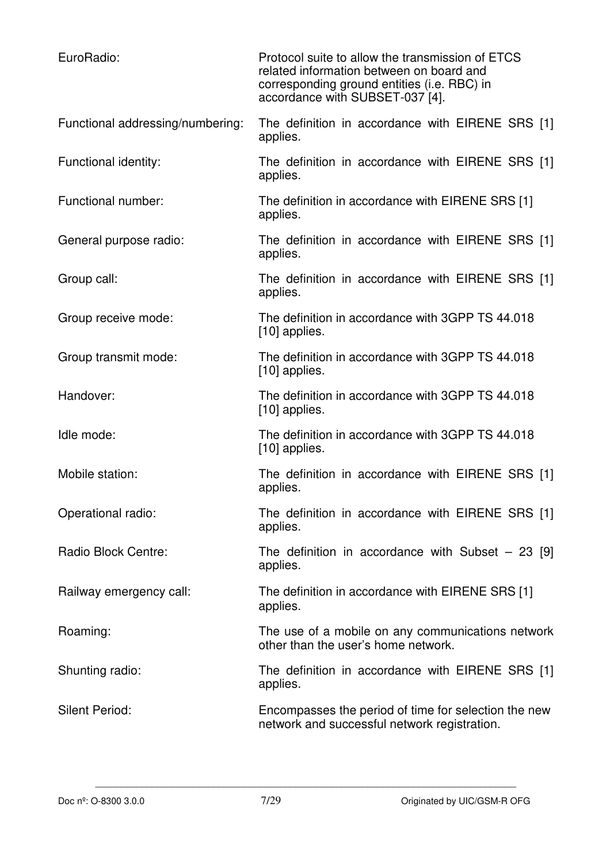| EuroRadio:                       | Protocol suite to allow the transmission of ETCS<br>related information between on board and<br>corresponding ground entities (i.e. RBC) in<br>accordance with SUBSET-037 [4]. |
|----------------------------------|--------------------------------------------------------------------------------------------------------------------------------------------------------------------------------|
| Functional addressing/numbering: | The definition in accordance with EIRENE SRS [1]<br>applies.                                                                                                                   |
| Functional identity:             | The definition in accordance with EIRENE SRS [1]<br>applies.                                                                                                                   |
| Functional number:               | The definition in accordance with EIRENE SRS [1]<br>applies.                                                                                                                   |
| General purpose radio:           | The definition in accordance with EIRENE SRS [1]<br>applies.                                                                                                                   |
| Group call:                      | The definition in accordance with EIRENE SRS [1]<br>applies.                                                                                                                   |
| Group receive mode:              | The definition in accordance with 3GPP TS 44.018<br>[10] applies.                                                                                                              |
| Group transmit mode:             | The definition in accordance with 3GPP TS 44.018<br>[10] applies.                                                                                                              |
| Handover:                        | The definition in accordance with 3GPP TS 44.018<br>[10] applies.                                                                                                              |
| Idle mode:                       | The definition in accordance with 3GPP TS 44.018<br>[10] applies.                                                                                                              |
| Mobile station:                  | The definition in accordance with EIRENE SRS [1]<br>applies.                                                                                                                   |
| Operational radio:               | The definition in accordance with EIRENE SRS [1]<br>applies.                                                                                                                   |
| Radio Block Centre:              | The definition in accordance with Subset $-23$ [9]<br>applies.                                                                                                                 |
| Railway emergency call:          | The definition in accordance with EIRENE SRS [1]<br>applies.                                                                                                                   |
| Roaming:                         | The use of a mobile on any communications network<br>other than the user's home network.                                                                                       |
| Shunting radio:                  | The definition in accordance with EIRENE SRS [1]<br>applies.                                                                                                                   |
| <b>Silent Period:</b>            | Encompasses the period of time for selection the new<br>network and successful network registration.                                                                           |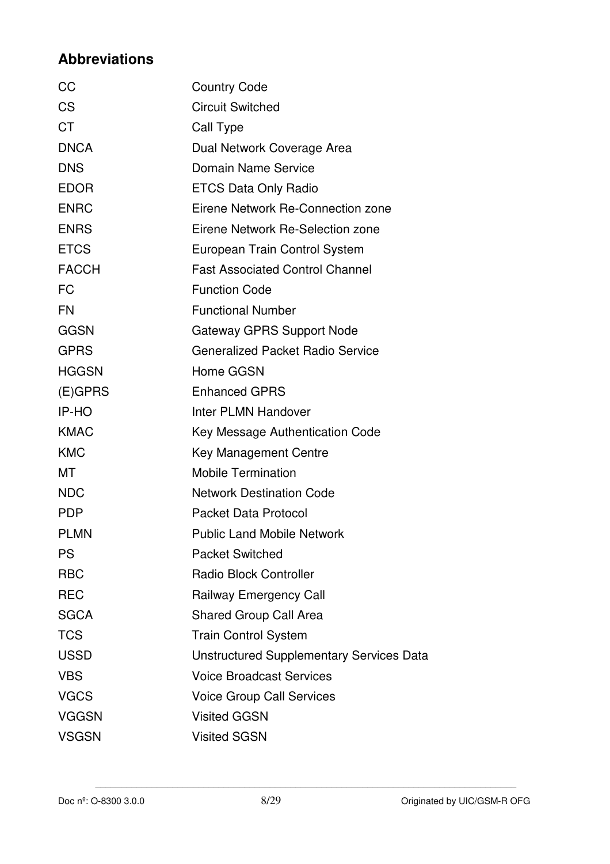### **Abbreviations**

| СC           | <b>Country Code</b>                             |
|--------------|-------------------------------------------------|
| <b>CS</b>    | <b>Circuit Switched</b>                         |
| <b>CT</b>    | Call Type                                       |
| <b>DNCA</b>  | Dual Network Coverage Area                      |
| <b>DNS</b>   | Domain Name Service                             |
| <b>EDOR</b>  | <b>ETCS Data Only Radio</b>                     |
| <b>ENRC</b>  | Eirene Network Re-Connection zone               |
| <b>ENRS</b>  | Eirene Network Re-Selection zone                |
| <b>ETCS</b>  | European Train Control System                   |
| <b>FACCH</b> | <b>Fast Associated Control Channel</b>          |
| <b>FC</b>    | <b>Function Code</b>                            |
| <b>FN</b>    | <b>Functional Number</b>                        |
| <b>GGSN</b>  | <b>Gateway GPRS Support Node</b>                |
| <b>GPRS</b>  | <b>Generalized Packet Radio Service</b>         |
| <b>HGGSN</b> | Home GGSN                                       |
| $(E)$ GPRS   | <b>Enhanced GPRS</b>                            |
| IP-HO        | Inter PLMN Handover                             |
| <b>KMAC</b>  | Key Message Authentication Code                 |
| <b>KMC</b>   | Key Management Centre                           |
| МT           | <b>Mobile Termination</b>                       |
| <b>NDC</b>   | <b>Network Destination Code</b>                 |
| <b>PDP</b>   | <b>Packet Data Protocol</b>                     |
| <b>PLMN</b>  | <b>Public Land Mobile Network</b>               |
| <b>PS</b>    | <b>Packet Switched</b>                          |
| <b>RBC</b>   | <b>Radio Block Controller</b>                   |
| <b>REC</b>   | Railway Emergency Call                          |
| <b>SGCA</b>  | <b>Shared Group Call Area</b>                   |
| <b>TCS</b>   | <b>Train Control System</b>                     |
| <b>USSD</b>  | <b>Unstructured Supplementary Services Data</b> |
| <b>VBS</b>   | <b>Voice Broadcast Services</b>                 |
| <b>VGCS</b>  | <b>Voice Group Call Services</b>                |
| <b>VGGSN</b> | <b>Visited GGSN</b>                             |
| <b>VSGSN</b> | <b>Visited SGSN</b>                             |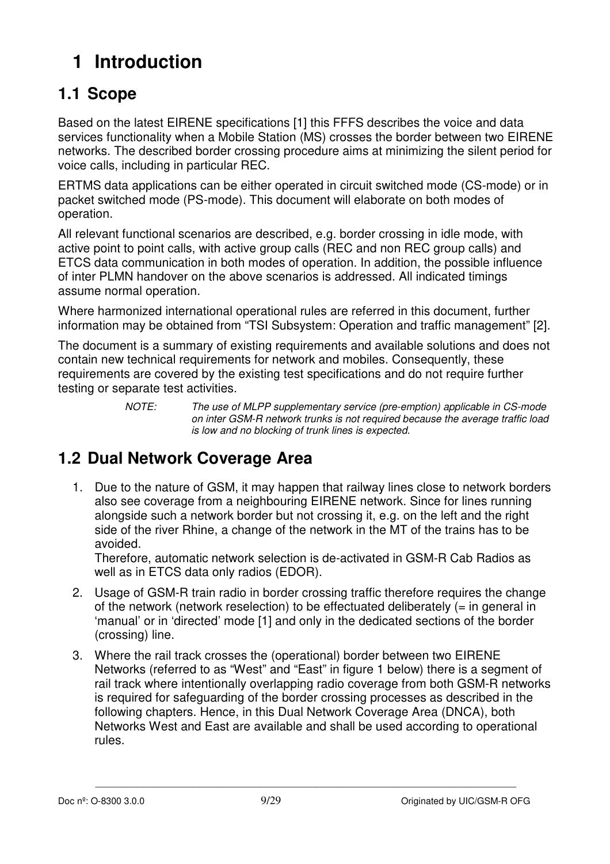# **1 Introduction**

## **1.1 Scope**

Based on the latest EIRENE specifications [1] this FFFS describes the voice and data services functionality when a Mobile Station (MS) crosses the border between two EIRENE networks. The described border crossing procedure aims at minimizing the silent period for voice calls, including in particular REC.

ERTMS data applications can be either operated in circuit switched mode (CS-mode) or in packet switched mode (PS-mode). This document will elaborate on both modes of operation.

All relevant functional scenarios are described, e.g. border crossing in idle mode, with active point to point calls, with active group calls (REC and non REC group calls) and ETCS data communication in both modes of operation. In addition, the possible influence of inter PLMN handover on the above scenarios is addressed. All indicated timings assume normal operation.

Where harmonized international operational rules are referred in this document, further information may be obtained from "TSI Subsystem: Operation and traffic management" [2].

The document is a summary of existing requirements and available solutions and does not contain new technical requirements for network and mobiles. Consequently, these requirements are covered by the existing test specifications and do not require further testing or separate test activities.

> *NOTE: The use of MLPP supplementary service (pre-emption) applicable in CS-mode on inter GSM-R network trunks is not required because the average traffic load is low and no blocking of trunk lines is expected.*

## **1.2 Dual Network Coverage Area**

1. Due to the nature of GSM, it may happen that railway lines close to network borders also see coverage from a neighbouring EIRENE network. Since for lines running alongside such a network border but not crossing it, e.g. on the left and the right side of the river Rhine, a change of the network in the MT of the trains has to be avoided.

Therefore, automatic network selection is de-activated in GSM-R Cab Radios as well as in ETCS data only radios (EDOR).

- 2. Usage of GSM-R train radio in border crossing traffic therefore requires the change of the network (network reselection) to be effectuated deliberately  $(=$  in general in 'manual' or in 'directed' mode [1] and only in the dedicated sections of the border (crossing) line.
- 3. Where the rail track crosses the (operational) border between two EIRENE Networks (referred to as "West" and "East" in figure 1 below) there is a segment of rail track where intentionally overlapping radio coverage from both GSM-R networks is required for safeguarding of the border crossing processes as described in the following chapters. Hence, in this Dual Network Coverage Area (DNCA), both Networks West and East are available and shall be used according to operational rules.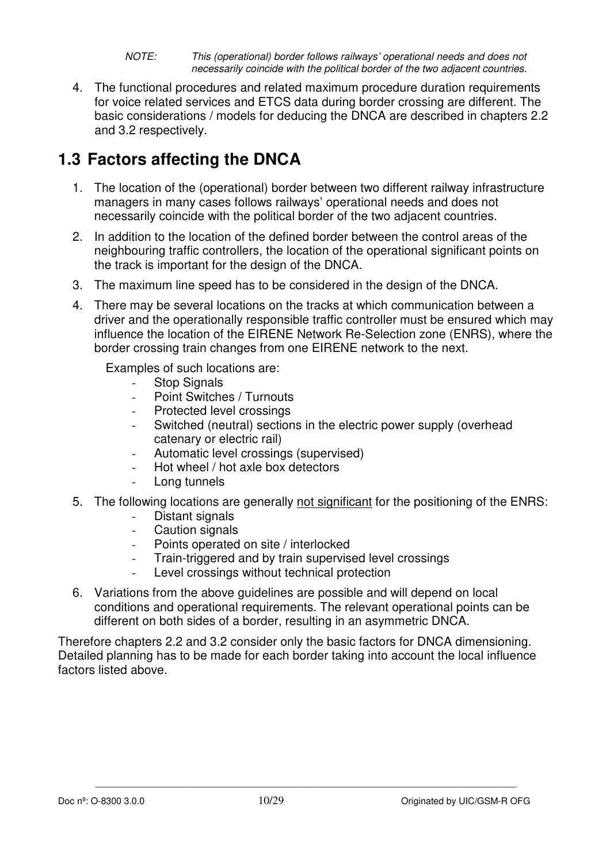*NOTE: This (operational) border follows railways' operational needs and does not necessarily coincide with the political border of the two adjacent countries.* 

4. The functional procedures and related maximum procedure duration requirements for voice related services and ETCS data during border crossing are different. The basic considerations / models for deducing the DNCA are described in chapters 2.2 and 3.2 respectively.

## **1.3 Factors affecting the DNCA**

- 1. The location of the (operational) border between two different railway infrastructure managers in many cases follows railways' operational needs and does not necessarily coincide with the political border of the two adjacent countries.
- 2. In addition to the location of the defined border between the control areas of the neighbouring traffic controllers, the location of the operational significant points on the track is important for the design of the DNCA.
- 3. The maximum line speed has to be considered in the design of the DNCA.
- 4. There may be several locations on the tracks at which communication between a driver and the operationally responsible traffic controller must be ensured which may influence the location of the EIRENE Network Re-Selection zone (ENRS), where the border crossing train changes from one EIRENE network to the next.

Examples of such locations are:

- Stop Signals
- Point Switches / Turnouts
- Protected level crossings
- Switched (neutral) sections in the electric power supply (overhead catenary or electric rail)
- Automatic level crossings (supervised)
- Hot wheel / hot axle box detectors
- Long tunnels
- 5. The following locations are generally not significant for the positioning of the ENRS:
	- Distant signals
	- Caution signals
	- Points operated on site / interlocked
	- Train-triggered and by train supervised level crossings
	- Level crossings without technical protection
- 6. Variations from the above guidelines are possible and will depend on local conditions and operational requirements. The relevant operational points can be different on both sides of a border, resulting in an asymmetric DNCA.

Therefore chapters 2.2 and 3.2 consider only the basic factors for DNCA dimensioning. Detailed planning has to be made for each border taking into account the local influence factors listed above.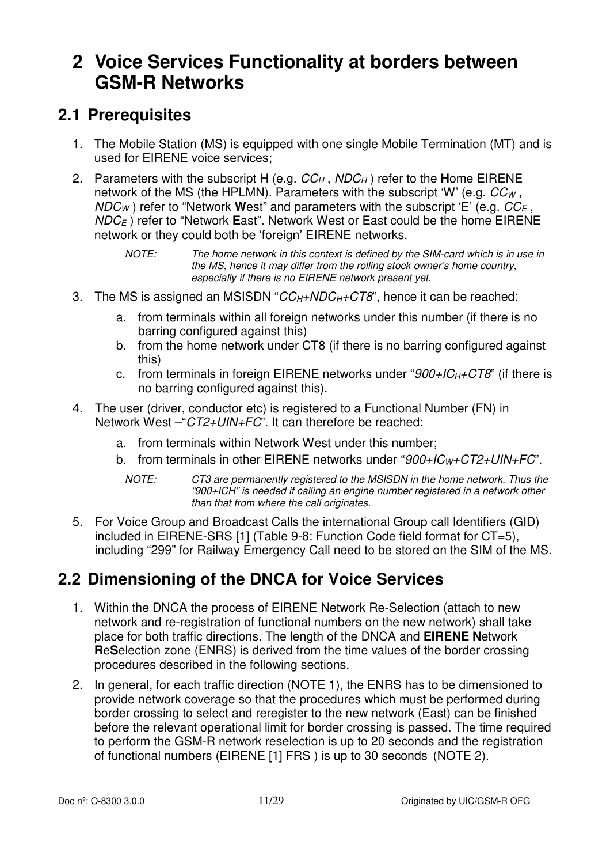# **2 Voice Services Functionality at borders between GSM-R Networks**

#### **2.1 Prerequisites**

- 1. The Mobile Station (MS) is equipped with one single Mobile Termination (MT) and is used for EIRENE voice services;
- 2. Parameters with the subscript H (e.g. *CCH* , *NDCH* ) refer to the **H**ome EIRENE network of the MS (the HPLMN). Parameters with the subscript 'W' (e.g. *CCW* , *NDCW* ) refer to "Network **W**est" and parameters with the subscript 'E' (e.g. *CCE* , *NDCE* ) refer to "Network **E**ast". Network West or East could be the home EIRENE network or they could both be 'foreign' EIRENE networks.

*NOTE: The home network in this context is defined by the SIM-card which is in use in the MS, hence it may differ from the rolling stock owner's home country, especially if there is no EIRENE network present yet.* 

- 3. The MS is assigned an MSISDN "*CCH+NDCH+CT8*", hence it can be reached:
	- a. from terminals within all foreign networks under this number (if there is no barring configured against this)
	- b. from the home network under CT8 (if there is no barring configured against this)
	- c. from terminals in foreign EIRENE networks under "*900+ICH+CT8*" (if there is no barring configured against this).
- 4. The user (driver, conductor etc) is registered to a Functional Number (FN) in Network West –"*CT2+UIN+FC*". It can therefore be reached:
	- a. from terminals within Network West under this number;
	- b. from terminals in other EIRENE networks under "*900+ICW+CT2+UIN+FC*".
		- *NOTE: CT3 are permanently registered to the MSISDN in the home network. Thus the "900+ICH" is needed if calling an engine number registered in a network other than that from where the call originates.*
- 5. For Voice Group and Broadcast Calls the international Group call Identifiers (GID) included in EIRENE-SRS [1] (Table 9-8: Function Code field format for CT=5), including "299" for Railway Emergency Call need to be stored on the SIM of the MS.

### **2.2 Dimensioning of the DNCA for Voice Services**

- 1. Within the DNCA the process of EIRENE Network Re-Selection (attach to new network and re-registration of functional numbers on the new network) shall take place for both traffic directions. The length of the DNCA and **EIRENE N**etwork **R**e**S**election zone (ENRS) is derived from the time values of the border crossing procedures described in the following sections.
- 2. In general, for each traffic direction (NOTE 1), the ENRS has to be dimensioned to provide network coverage so that the procedures which must be performed during border crossing to select and reregister to the new network (East) can be finished before the relevant operational limit for border crossing is passed. The time required to perform the GSM-R network reselection is up to 20 seconds and the registration of functional numbers (EIRENE [1] FRS ) is up to 30 seconds (NOTE 2).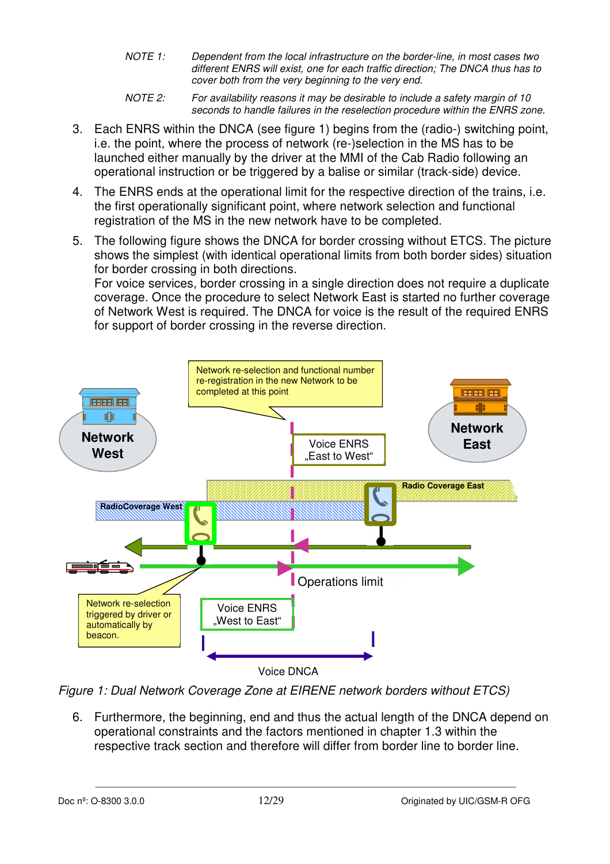- *NOTE 1: Dependent from the local infrastructure on the border-line, in most cases two different ENRS will exist, one for each traffic direction; The DNCA thus has to cover both from the very beginning to the very end.*
- *NOTE 2: For availability reasons it may be desirable to include a safety margin of 10 seconds to handle failures in the reselection procedure within the ENRS zone.*
- 3. Each ENRS within the DNCA (see figure 1) begins from the (radio-) switching point, i.e. the point, where the process of network (re-)selection in the MS has to be launched either manually by the driver at the MMI of the Cab Radio following an operational instruction or be triggered by a balise or similar (track-side) device.
- 4. The ENRS ends at the operational limit for the respective direction of the trains, i.e. the first operationally significant point, where network selection and functional registration of the MS in the new network have to be completed.
- 5. The following figure shows the DNCA for border crossing without ETCS. The picture shows the simplest (with identical operational limits from both border sides) situation for border crossing in both directions.

For voice services, border crossing in a single direction does not require a duplicate coverage. Once the procedure to select Network East is started no further coverage of Network West is required. The DNCA for voice is the result of the required ENRS for support of border crossing in the reverse direction.



*Figure 1: Dual Network Coverage Zone at EIRENE network borders without ETCS)* 

6. Furthermore, the beginning, end and thus the actual length of the DNCA depend on operational constraints and the factors mentioned in chapter 1.3 within the respective track section and therefore will differ from border line to border line.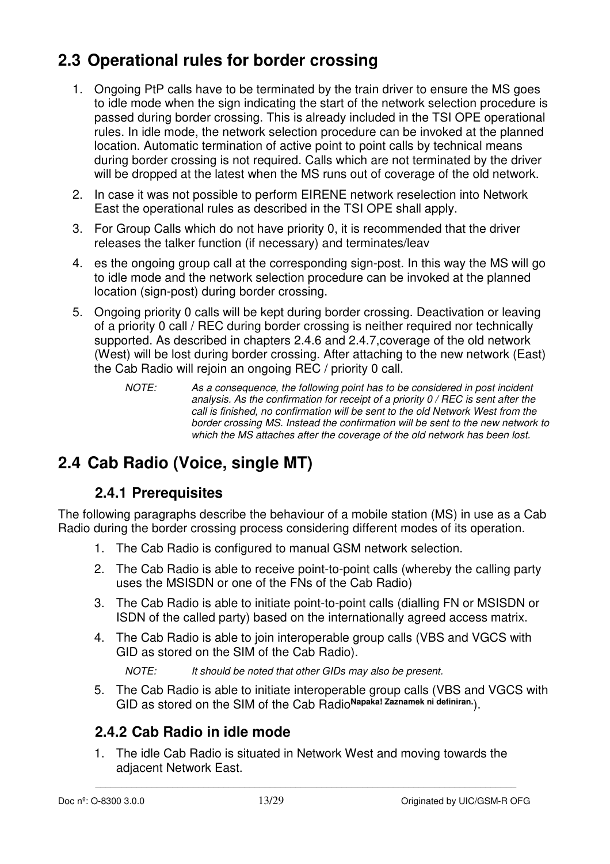## **2.3 Operational rules for border crossing**

- 1. Ongoing PtP calls have to be terminated by the train driver to ensure the MS goes to idle mode when the sign indicating the start of the network selection procedure is passed during border crossing. This is already included in the TSI OPE operational rules. In idle mode, the network selection procedure can be invoked at the planned location. Automatic termination of active point to point calls by technical means during border crossing is not required. Calls which are not terminated by the driver will be dropped at the latest when the MS runs out of coverage of the old network.
- 2. In case it was not possible to perform EIRENE network reselection into Network East the operational rules as described in the TSI OPE shall apply.
- 3. For Group Calls which do not have priority 0, it is recommended that the driver releases the talker function (if necessary) and terminates/leav
- 4. es the ongoing group call at the corresponding sign-post. In this way the MS will go to idle mode and the network selection procedure can be invoked at the planned location (sign-post) during border crossing.
- 5. Ongoing priority 0 calls will be kept during border crossing. Deactivation or leaving of a priority 0 call / REC during border crossing is neither required nor technically supported. As described in chapters 2.4.6 and 2.4.7,coverage of the old network (West) will be lost during border crossing. After attaching to the new network (East) the Cab Radio will rejoin an ongoing REC / priority 0 call.
	- *NOTE: As a consequence, the following point has to be considered in post incident analysis. As the confirmation for receipt of a priority 0 / REC is sent after the call is finished, no confirmation will be sent to the old Network West from the border crossing MS. Instead the confirmation will be sent to the new network to which the MS attaches after the coverage of the old network has been lost.*

## **2.4 Cab Radio (Voice, single MT)**

#### **2.4.1 Prerequisites**

The following paragraphs describe the behaviour of a mobile station (MS) in use as a Cab Radio during the border crossing process considering different modes of its operation.

- 1. The Cab Radio is configured to manual GSM network selection.
- 2. The Cab Radio is able to receive point-to-point calls (whereby the calling party uses the MSISDN or one of the FNs of the Cab Radio)
- 3. The Cab Radio is able to initiate point-to-point calls (dialling FN or MSISDN or ISDN of the called party) based on the internationally agreed access matrix.
- 4. The Cab Radio is able to join interoperable group calls (VBS and VGCS with GID as stored on the SIM of the Cab Radio).

*NOTE: It should be noted that other GIDs may also be present.* 

5. The Cab Radio is able to initiate interoperable group calls (VBS and VGCS with GID as stored on the SIM of the Cab Radio**Napaka! Zaznamek ni definiran.**).

#### **2.4.2 Cab Radio in idle mode**

1. The idle Cab Radio is situated in Network West and moving towards the adjacent Network East.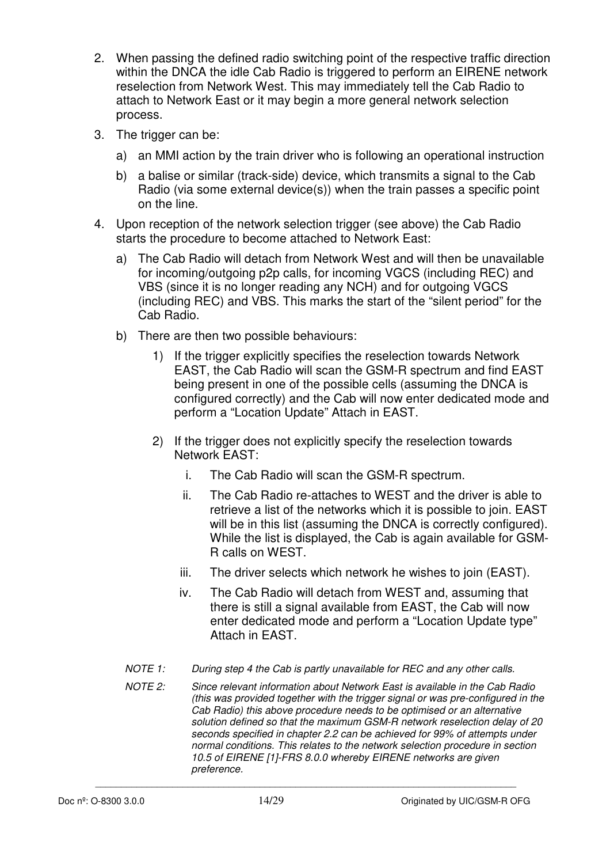- 2. When passing the defined radio switching point of the respective traffic direction within the DNCA the idle Cab Radio is triggered to perform an EIRENE network reselection from Network West. This may immediately tell the Cab Radio to attach to Network East or it may begin a more general network selection process.
- 3. The trigger can be:
	- a) an MMI action by the train driver who is following an operational instruction
	- b) a balise or similar (track-side) device, which transmits a signal to the Cab Radio (via some external device(s)) when the train passes a specific point on the line.
- 4. Upon reception of the network selection trigger (see above) the Cab Radio starts the procedure to become attached to Network East:
	- a) The Cab Radio will detach from Network West and will then be unavailable for incoming/outgoing p2p calls, for incoming VGCS (including REC) and VBS (since it is no longer reading any NCH) and for outgoing VGCS (including REC) and VBS. This marks the start of the "silent period" for the Cab Radio.
	- b) There are then two possible behaviours:
		- 1) If the trigger explicitly specifies the reselection towards Network EAST, the Cab Radio will scan the GSM-R spectrum and find EAST being present in one of the possible cells (assuming the DNCA is configured correctly) and the Cab will now enter dedicated mode and perform a "Location Update" Attach in EAST.
		- 2) If the trigger does not explicitly specify the reselection towards Network EAST:
			- i. The Cab Radio will scan the GSM-R spectrum.
			- ii. The Cab Radio re-attaches to WEST and the driver is able to retrieve a list of the networks which it is possible to join. EAST will be in this list (assuming the DNCA is correctly configured). While the list is displayed, the Cab is again available for GSM-R calls on WEST.
			- iii. The driver selects which network he wishes to join (EAST).
			- iv. The Cab Radio will detach from WEST and, assuming that there is still a signal available from EAST, the Cab will now enter dedicated mode and perform a "Location Update type" Attach in EAST.
		- *NOTE 1: During step 4 the Cab is partly unavailable for REC and any other calls.*

\_\_\_\_\_\_\_\_\_\_\_\_\_\_\_\_\_\_\_\_\_\_\_\_\_\_\_\_\_\_\_\_\_\_\_\_\_\_\_\_\_\_\_\_\_\_\_\_\_\_\_\_\_\_\_\_\_\_\_\_\_\_\_\_\_\_\_\_\_\_\_\_\_\_\_\_\_\_\_\_\_\_

*NOTE 2: Since relevant information about Network East is available in the Cab Radio (this was provided together with the trigger signal or was pre-configured in the Cab Radio) this above procedure needs to be optimised or an alternative solution defined so that the maximum GSM-R network reselection delay of 20 seconds specified in chapter 2.2 can be achieved for 99% of attempts under normal conditions. This relates to the network selection procedure in section 10.5 of EIRENE [1]-FRS 8.0.0 whereby EIRENE networks are given preference.*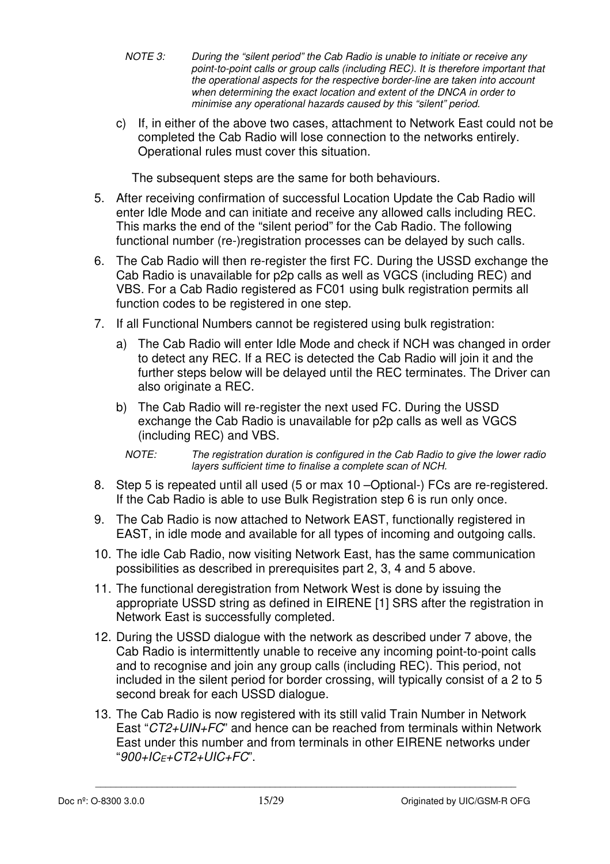- *NOTE 3: During the "silent period" the Cab Radio is unable to initiate or receive any point-to-point calls or group calls (including REC). It is therefore important that the operational aspects for the respective border-line are taken into account when determining the exact location and extent of the DNCA in order to minimise any operational hazards caused by this "silent" period.*
- c) If, in either of the above two cases, attachment to Network East could not be completed the Cab Radio will lose connection to the networks entirely. Operational rules must cover this situation.

The subsequent steps are the same for both behaviours.

- 5. After receiving confirmation of successful Location Update the Cab Radio will enter Idle Mode and can initiate and receive any allowed calls including REC. This marks the end of the "silent period" for the Cab Radio. The following functional number (re-)registration processes can be delayed by such calls.
- 6. The Cab Radio will then re-register the first FC. During the USSD exchange the Cab Radio is unavailable for p2p calls as well as VGCS (including REC) and VBS. For a Cab Radio registered as FC01 using bulk registration permits all function codes to be registered in one step.
- 7. If all Functional Numbers cannot be registered using bulk registration:
	- a) The Cab Radio will enter Idle Mode and check if NCH was changed in order to detect any REC. If a REC is detected the Cab Radio will join it and the further steps below will be delayed until the REC terminates. The Driver can also originate a REC.
	- b) The Cab Radio will re-register the next used FC. During the USSD exchange the Cab Radio is unavailable for p2p calls as well as VGCS (including REC) and VBS.

*NOTE: The registration duration is configured in the Cab Radio to give the lower radio layers sufficient time to finalise a complete scan of NCH.* 

- 8. Step 5 is repeated until all used (5 or max 10 –Optional-) FCs are re-registered. If the Cab Radio is able to use Bulk Registration step 6 is run only once.
- 9. The Cab Radio is now attached to Network EAST, functionally registered in EAST, in idle mode and available for all types of incoming and outgoing calls.
- 10. The idle Cab Radio, now visiting Network East, has the same communication possibilities as described in prerequisites part 2, 3, 4 and 5 above.
- 11. The functional deregistration from Network West is done by issuing the appropriate USSD string as defined in EIRENE [1] SRS after the registration in Network East is successfully completed.
- 12. During the USSD dialogue with the network as described under 7 above, the Cab Radio is intermittently unable to receive any incoming point-to-point calls and to recognise and join any group calls (including REC). This period, not included in the silent period for border crossing, will typically consist of a 2 to 5 second break for each USSD dialogue.
- 13. The Cab Radio is now registered with its still valid Train Number in Network East "*CT2+UIN+FC*" and hence can be reached from terminals within Network East under this number and from terminals in other EIRENE networks under "*900+ICE+CT2+UIC+FC*".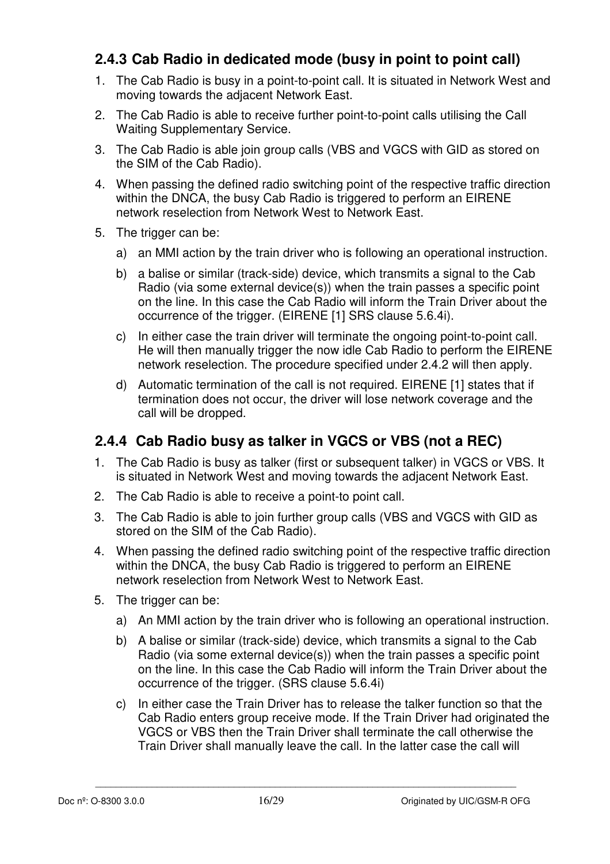#### **2.4.3 Cab Radio in dedicated mode (busy in point to point call)**

- 1. The Cab Radio is busy in a point-to-point call. It is situated in Network West and moving towards the adjacent Network East.
- 2. The Cab Radio is able to receive further point-to-point calls utilising the Call Waiting Supplementary Service.
- 3. The Cab Radio is able join group calls (VBS and VGCS with GID as stored on the SIM of the Cab Radio).
- 4. When passing the defined radio switching point of the respective traffic direction within the DNCA, the busy Cab Radio is triggered to perform an EIRENE network reselection from Network West to Network East.
- 5. The trigger can be:
	- a) an MMI action by the train driver who is following an operational instruction.
	- b) a balise or similar (track-side) device, which transmits a signal to the Cab Radio (via some external device(s)) when the train passes a specific point on the line. In this case the Cab Radio will inform the Train Driver about the occurrence of the trigger. (EIRENE [1] SRS clause 5.6.4i).
	- c) In either case the train driver will terminate the ongoing point-to-point call. He will then manually trigger the now idle Cab Radio to perform the EIRENE network reselection. The procedure specified under 2.4.2 will then apply.
	- d) Automatic termination of the call is not required. EIRENE [1] states that if termination does not occur, the driver will lose network coverage and the call will be dropped.

#### **2.4.4 Cab Radio busy as talker in VGCS or VBS (not a REC)**

- 1. The Cab Radio is busy as talker (first or subsequent talker) in VGCS or VBS. It is situated in Network West and moving towards the adjacent Network East.
- 2. The Cab Radio is able to receive a point-to point call.
- 3. The Cab Radio is able to join further group calls (VBS and VGCS with GID as stored on the SIM of the Cab Radio).
- 4. When passing the defined radio switching point of the respective traffic direction within the DNCA, the busy Cab Radio is triggered to perform an EIRENE network reselection from Network West to Network East.
- 5. The trigger can be:
	- a) An MMI action by the train driver who is following an operational instruction.
	- b) A balise or similar (track-side) device, which transmits a signal to the Cab Radio (via some external device(s)) when the train passes a specific point on the line. In this case the Cab Radio will inform the Train Driver about the occurrence of the trigger. (SRS clause 5.6.4i)
	- c) In either case the Train Driver has to release the talker function so that the Cab Radio enters group receive mode. If the Train Driver had originated the VGCS or VBS then the Train Driver shall terminate the call otherwise the Train Driver shall manually leave the call. In the latter case the call will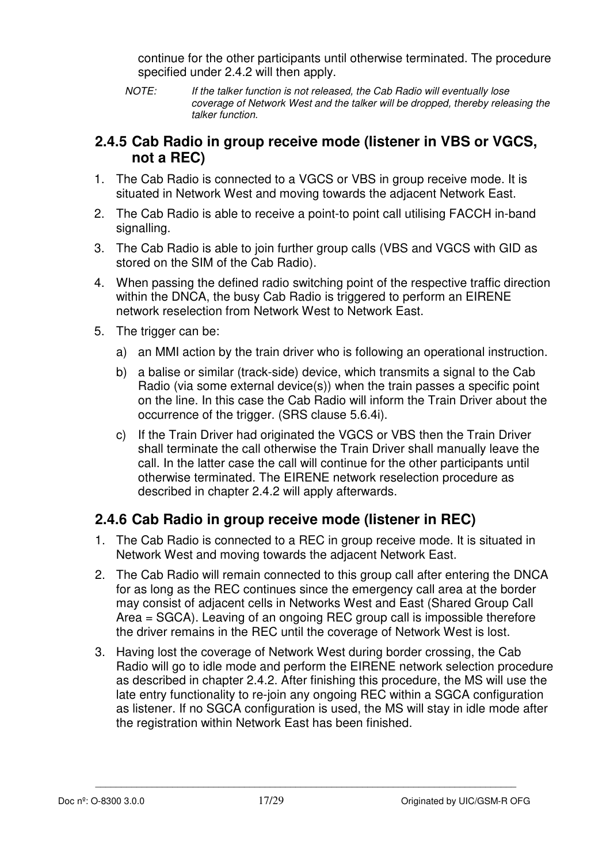continue for the other participants until otherwise terminated. The procedure specified under 2.4.2 will then apply.

*NOTE: If the talker function is not released, the Cab Radio will eventually lose coverage of Network West and the talker will be dropped, thereby releasing the talker function.* 

#### **2.4.5 Cab Radio in group receive mode (listener in VBS or VGCS, not a REC)**

- 1. The Cab Radio is connected to a VGCS or VBS in group receive mode. It is situated in Network West and moving towards the adjacent Network East.
- 2. The Cab Radio is able to receive a point-to point call utilising FACCH in-band signalling.
- 3. The Cab Radio is able to join further group calls (VBS and VGCS with GID as stored on the SIM of the Cab Radio).
- 4. When passing the defined radio switching point of the respective traffic direction within the DNCA, the busy Cab Radio is triggered to perform an EIRENE network reselection from Network West to Network East.
- 5. The trigger can be:
	- a) an MMI action by the train driver who is following an operational instruction.
	- b) a balise or similar (track-side) device, which transmits a signal to the Cab Radio (via some external device(s)) when the train passes a specific point on the line. In this case the Cab Radio will inform the Train Driver about the occurrence of the trigger. (SRS clause 5.6.4i).
	- c) If the Train Driver had originated the VGCS or VBS then the Train Driver shall terminate the call otherwise the Train Driver shall manually leave the call. In the latter case the call will continue for the other participants until otherwise terminated. The EIRENE network reselection procedure as described in chapter 2.4.2 will apply afterwards.

#### **2.4.6 Cab Radio in group receive mode (listener in REC)**

- 1. The Cab Radio is connected to a REC in group receive mode. It is situated in Network West and moving towards the adjacent Network East.
- 2. The Cab Radio will remain connected to this group call after entering the DNCA for as long as the REC continues since the emergency call area at the border may consist of adjacent cells in Networks West and East (Shared Group Call Area = SGCA). Leaving of an ongoing REC group call is impossible therefore the driver remains in the REC until the coverage of Network West is lost.
- 3. Having lost the coverage of Network West during border crossing, the Cab Radio will go to idle mode and perform the EIRENE network selection procedure as described in chapter 2.4.2. After finishing this procedure, the MS will use the late entry functionality to re-join any ongoing REC within a SGCA configuration as listener. If no SGCA configuration is used, the MS will stay in idle mode after the registration within Network East has been finished.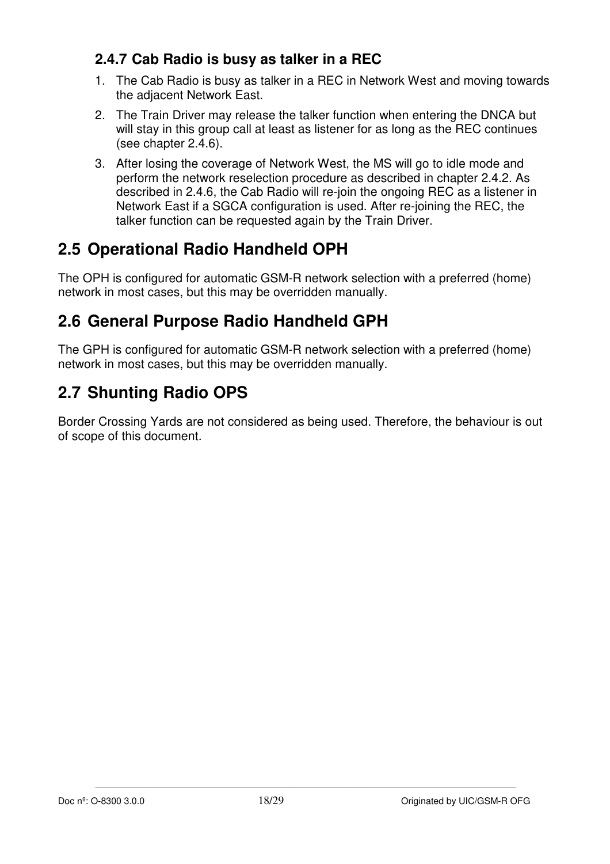#### **2.4.7 Cab Radio is busy as talker in a REC**

- 1. The Cab Radio is busy as talker in a REC in Network West and moving towards the adjacent Network East.
- 2. The Train Driver may release the talker function when entering the DNCA but will stay in this group call at least as listener for as long as the REC continues (see chapter 2.4.6).
- 3. After losing the coverage of Network West, the MS will go to idle mode and perform the network reselection procedure as described in chapter 2.4.2. As described in 2.4.6, the Cab Radio will re-join the ongoing REC as a listener in Network East if a SGCA configuration is used. After re-joining the REC, the talker function can be requested again by the Train Driver.

# **2.5 Operational Radio Handheld OPH**

The OPH is configured for automatic GSM-R network selection with a preferred (home) network in most cases, but this may be overridden manually.

## **2.6 General Purpose Radio Handheld GPH**

The GPH is configured for automatic GSM-R network selection with a preferred (home) network in most cases, but this may be overridden manually.

# **2.7 Shunting Radio OPS**

Border Crossing Yards are not considered as being used. Therefore, the behaviour is out of scope of this document.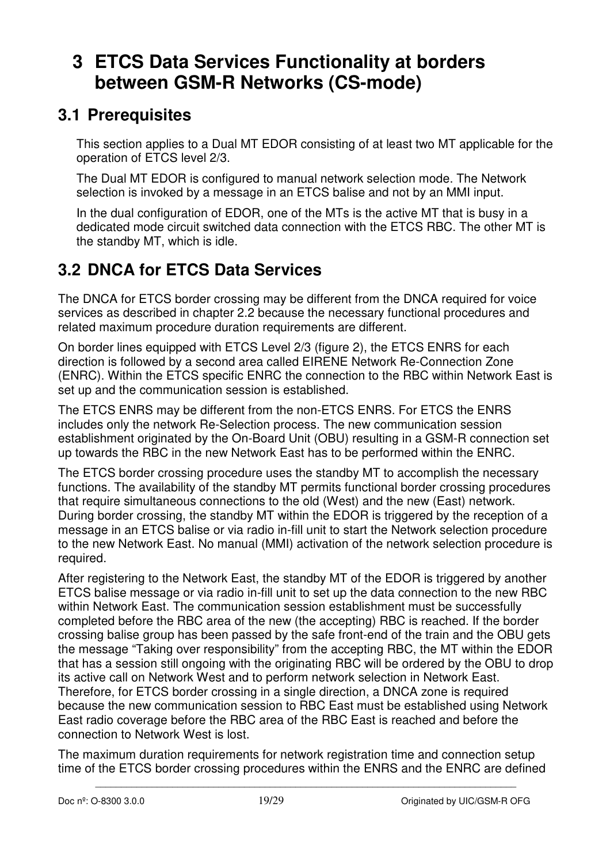# **3 ETCS Data Services Functionality at borders between GSM-R Networks (CS-mode)**

#### **3.1 Prerequisites**

This section applies to a Dual MT EDOR consisting of at least two MT applicable for the operation of ETCS level 2/3.

The Dual MT EDOR is configured to manual network selection mode. The Network selection is invoked by a message in an ETCS balise and not by an MMI input.

In the dual configuration of EDOR, one of the MTs is the active MT that is busy in a dedicated mode circuit switched data connection with the ETCS RBC. The other MT is the standby MT, which is idle.

## **3.2 DNCA for ETCS Data Services**

The DNCA for ETCS border crossing may be different from the DNCA required for voice services as described in chapter 2.2 because the necessary functional procedures and related maximum procedure duration requirements are different.

On border lines equipped with ETCS Level 2/3 (figure 2), the ETCS ENRS for each direction is followed by a second area called EIRENE Network Re-Connection Zone (ENRC). Within the ETCS specific ENRC the connection to the RBC within Network East is set up and the communication session is established.

The ETCS ENRS may be different from the non-ETCS ENRS. For ETCS the ENRS includes only the network Re-Selection process. The new communication session establishment originated by the On-Board Unit (OBU) resulting in a GSM-R connection set up towards the RBC in the new Network East has to be performed within the ENRC.

The ETCS border crossing procedure uses the standby MT to accomplish the necessary functions. The availability of the standby MT permits functional border crossing procedures that require simultaneous connections to the old (West) and the new (East) network. During border crossing, the standby MT within the EDOR is triggered by the reception of a message in an ETCS balise or via radio in-fill unit to start the Network selection procedure to the new Network East. No manual (MMI) activation of the network selection procedure is required.

After registering to the Network East, the standby MT of the EDOR is triggered by another ETCS balise message or via radio in-fill unit to set up the data connection to the new RBC within Network East. The communication session establishment must be successfully completed before the RBC area of the new (the accepting) RBC is reached. If the border crossing balise group has been passed by the safe front-end of the train and the OBU gets the message "Taking over responsibility" from the accepting RBC, the MT within the EDOR that has a session still ongoing with the originating RBC will be ordered by the OBU to drop its active call on Network West and to perform network selection in Network East. Therefore, for ETCS border crossing in a single direction, a DNCA zone is required because the new communication session to RBC East must be established using Network East radio coverage before the RBC area of the RBC East is reached and before the connection to Network West is lost.

The maximum duration requirements for network registration time and connection setup time of the ETCS border crossing procedures within the ENRS and the ENRC are defined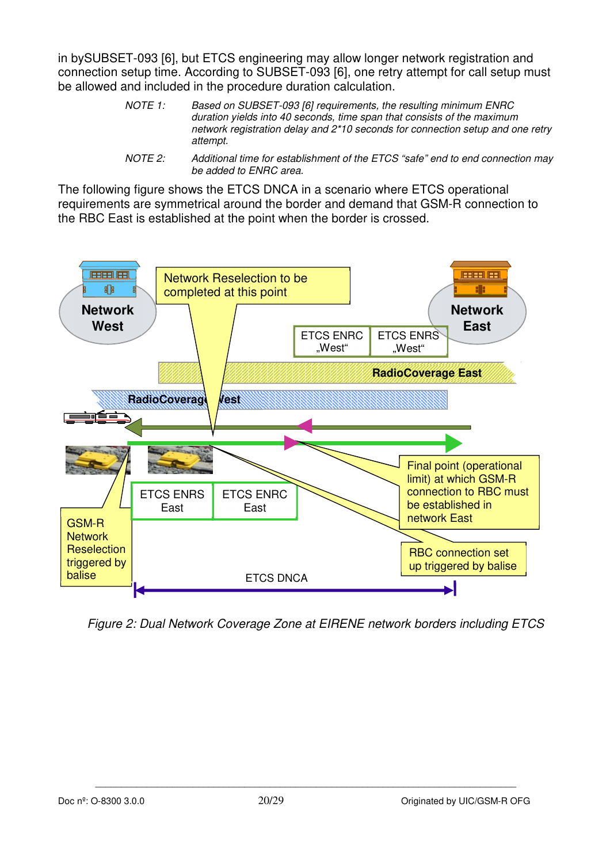in bySUBSET-093 [6], but ETCS engineering may allow longer network registration and connection setup time. According to SUBSET-093 [6], one retry attempt for call setup must be allowed and included in the procedure duration calculation.

- *NOTE 1: Based on SUBSET-093 [6] requirements, the resulting minimum ENRC duration yields into 40 seconds, time span that consists of the maximum network registration delay and 2\*10 seconds for connection setup and one retry attempt.*
- *NOTE 2: Additional time for establishment of the ETCS "safe" end to end connection may be added to ENRC area.*

The following figure shows the ETCS DNCA in a scenario where ETCS operational requirements are symmetrical around the border and demand that GSM-R connection to the RBC East is established at the point when the border is crossed.



*Figure 2: Dual Network Coverage Zone at EIRENE network borders including ETCS*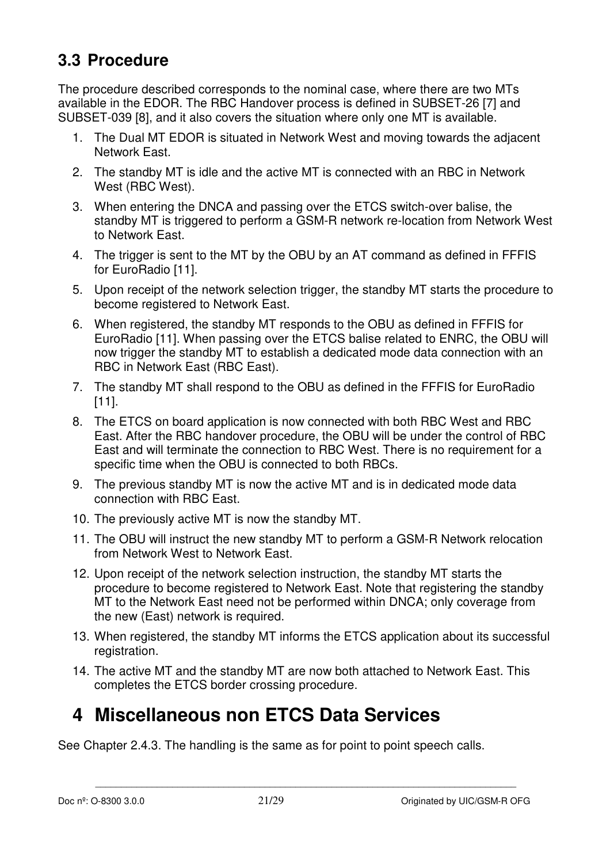## **3.3 Procedure**

The procedure described corresponds to the nominal case, where there are two MTs available in the EDOR. The RBC Handover process is defined in SUBSET-26 [7] and SUBSET-039 [8], and it also covers the situation where only one MT is available.

- 1. The Dual MT EDOR is situated in Network West and moving towards the adjacent Network East.
- 2. The standby MT is idle and the active MT is connected with an RBC in Network West (RBC West).
- 3. When entering the DNCA and passing over the ETCS switch-over balise, the standby MT is triggered to perform a GSM-R network re-location from Network West to Network East.
- 4. The trigger is sent to the MT by the OBU by an AT command as defined in FFFIS for EuroRadio [11].
- 5. Upon receipt of the network selection trigger, the standby MT starts the procedure to become registered to Network East.
- 6. When registered, the standby MT responds to the OBU as defined in FFFIS for EuroRadio [11]. When passing over the ETCS balise related to ENRC, the OBU will now trigger the standby MT to establish a dedicated mode data connection with an RBC in Network East (RBC East).
- 7. The standby MT shall respond to the OBU as defined in the FFFIS for EuroRadio [11].
- 8. The ETCS on board application is now connected with both RBC West and RBC East. After the RBC handover procedure, the OBU will be under the control of RBC East and will terminate the connection to RBC West. There is no requirement for a specific time when the OBU is connected to both RBCs.
- 9. The previous standby MT is now the active MT and is in dedicated mode data connection with RBC East.
- 10. The previously active MT is now the standby MT.
- 11. The OBU will instruct the new standby MT to perform a GSM-R Network relocation from Network West to Network East.
- 12. Upon receipt of the network selection instruction, the standby MT starts the procedure to become registered to Network East. Note that registering the standby MT to the Network East need not be performed within DNCA; only coverage from the new (East) network is required.
- 13. When registered, the standby MT informs the ETCS application about its successful registration.
- 14. The active MT and the standby MT are now both attached to Network East. This completes the ETCS border crossing procedure.

\_\_\_\_\_\_\_\_\_\_\_\_\_\_\_\_\_\_\_\_\_\_\_\_\_\_\_\_\_\_\_\_\_\_\_\_\_\_\_\_\_\_\_\_\_\_\_\_\_\_\_\_\_\_\_\_\_\_\_\_\_\_\_\_\_\_\_\_\_\_\_\_\_\_\_\_\_\_\_\_\_\_

# **4 Miscellaneous non ETCS Data Services**

See Chapter 2.4.3. The handling is the same as for point to point speech calls.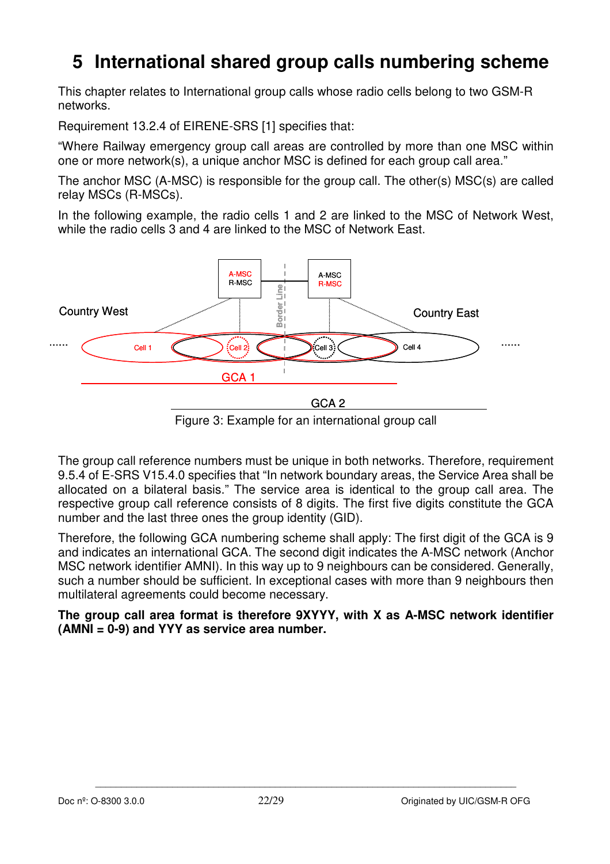# **5 International shared group calls numbering scheme**

This chapter relates to International group calls whose radio cells belong to two GSM-R networks.

Requirement 13.2.4 of EIRENE-SRS [1] specifies that:

"Where Railway emergency group call areas are controlled by more than one MSC within one or more network(s), a unique anchor MSC is defined for each group call area."

The anchor MSC (A-MSC) is responsible for the group call. The other(s) MSC(s) are called relay MSCs (R-MSCs).

In the following example, the radio cells 1 and 2 are linked to the MSC of Network West, while the radio cells 3 and 4 are linked to the MSC of Network East.



Figure 3: Example for an international group call

The group call reference numbers must be unique in both networks. Therefore, requirement 9.5.4 of E-SRS V15.4.0 specifies that "In network boundary areas, the Service Area shall be allocated on a bilateral basis." The service area is identical to the group call area. The respective group call reference consists of 8 digits. The first five digits constitute the GCA number and the last three ones the group identity (GID).

Therefore, the following GCA numbering scheme shall apply: The first digit of the GCA is 9 and indicates an international GCA. The second digit indicates the A-MSC network (Anchor MSC network identifier AMNI). In this way up to 9 neighbours can be considered. Generally, such a number should be sufficient. In exceptional cases with more than 9 neighbours then multilateral agreements could become necessary.

**The group call area format is therefore 9XYYY, with X as A-MSC network identifier (AMNI = 0-9) and YYY as service area number.**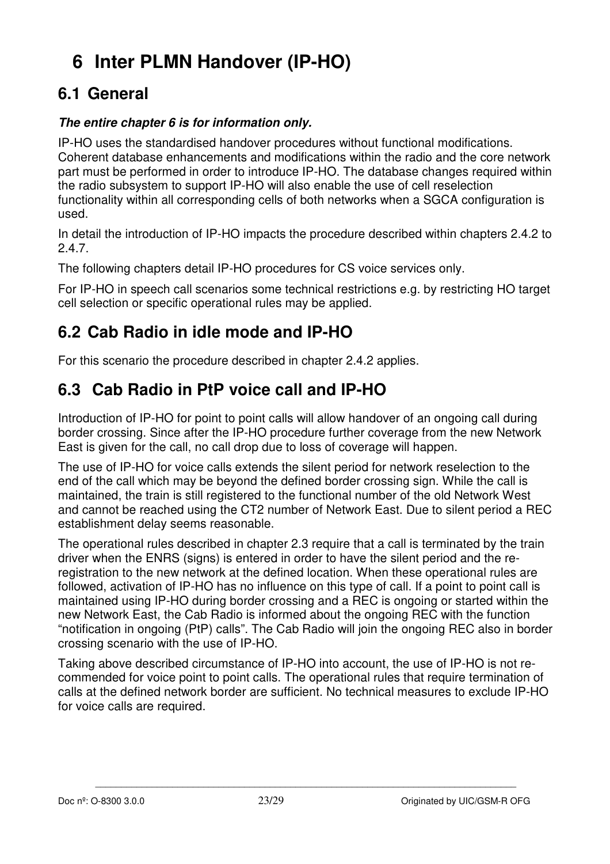# **6 Inter PLMN Handover (IP-HO)**

## **6.1 General**

#### **The entire chapter 6 is for information only.**

IP-HO uses the standardised handover procedures without functional modifications. Coherent database enhancements and modifications within the radio and the core network part must be performed in order to introduce IP-HO. The database changes required within the radio subsystem to support IP-HO will also enable the use of cell reselection functionality within all corresponding cells of both networks when a SGCA configuration is used.

In detail the introduction of IP-HO impacts the procedure described within chapters 2.4.2 to 2.4.7.

The following chapters detail IP-HO procedures for CS voice services only.

For IP-HO in speech call scenarios some technical restrictions e.g. by restricting HO target cell selection or specific operational rules may be applied.

## **6.2 Cab Radio in idle mode and IP-HO**

For this scenario the procedure described in chapter 2.4.2 applies.

### **6.3 Cab Radio in PtP voice call and IP-HO**

Introduction of IP-HO for point to point calls will allow handover of an ongoing call during border crossing. Since after the IP-HO procedure further coverage from the new Network East is given for the call, no call drop due to loss of coverage will happen.

The use of IP-HO for voice calls extends the silent period for network reselection to the end of the call which may be beyond the defined border crossing sign. While the call is maintained, the train is still registered to the functional number of the old Network West and cannot be reached using the CT2 number of Network East. Due to silent period a REC establishment delay seems reasonable.

The operational rules described in chapter 2.3 require that a call is terminated by the train driver when the ENRS (signs) is entered in order to have the silent period and the reregistration to the new network at the defined location. When these operational rules are followed, activation of IP-HO has no influence on this type of call. If a point to point call is maintained using IP-HO during border crossing and a REC is ongoing or started within the new Network East, the Cab Radio is informed about the ongoing REC with the function "notification in ongoing (PtP) calls". The Cab Radio will join the ongoing REC also in border crossing scenario with the use of IP-HO.

Taking above described circumstance of IP-HO into account, the use of IP-HO is not recommended for voice point to point calls. The operational rules that require termination of calls at the defined network border are sufficient. No technical measures to exclude IP-HO for voice calls are required.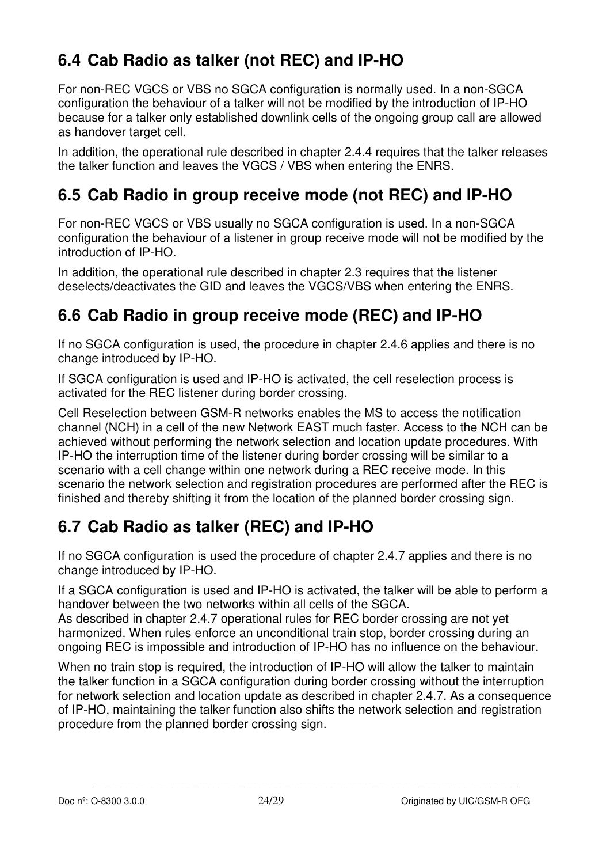# **6.4 Cab Radio as talker (not REC) and IP-HO**

For non-REC VGCS or VBS no SGCA configuration is normally used. In a non-SGCA configuration the behaviour of a talker will not be modified by the introduction of IP-HO because for a talker only established downlink cells of the ongoing group call are allowed as handover target cell.

In addition, the operational rule described in chapter 2.4.4 requires that the talker releases the talker function and leaves the VGCS / VBS when entering the ENRS.

## **6.5 Cab Radio in group receive mode (not REC) and IP-HO**

For non-REC VGCS or VBS usually no SGCA configuration is used. In a non-SGCA configuration the behaviour of a listener in group receive mode will not be modified by the introduction of IP-HO.

In addition, the operational rule described in chapter 2.3 requires that the listener deselects/deactivates the GID and leaves the VGCS/VBS when entering the ENRS.

#### **6.6 Cab Radio in group receive mode (REC) and IP-HO**

If no SGCA configuration is used, the procedure in chapter 2.4.6 applies and there is no change introduced by IP-HO.

If SGCA configuration is used and IP-HO is activated, the cell reselection process is activated for the REC listener during border crossing.

Cell Reselection between GSM-R networks enables the MS to access the notification channel (NCH) in a cell of the new Network EAST much faster. Access to the NCH can be achieved without performing the network selection and location update procedures. With IP-HO the interruption time of the listener during border crossing will be similar to a scenario with a cell change within one network during a REC receive mode. In this scenario the network selection and registration procedures are performed after the REC is finished and thereby shifting it from the location of the planned border crossing sign.

## **6.7 Cab Radio as talker (REC) and IP-HO**

If no SGCA configuration is used the procedure of chapter 2.4.7 applies and there is no change introduced by IP-HO.

If a SGCA configuration is used and IP-HO is activated, the talker will be able to perform a handover between the two networks within all cells of the SGCA.

As described in chapter 2.4.7 operational rules for REC border crossing are not yet harmonized. When rules enforce an unconditional train stop, border crossing during an ongoing REC is impossible and introduction of IP-HO has no influence on the behaviour.

When no train stop is required, the introduction of IP-HO will allow the talker to maintain the talker function in a SGCA configuration during border crossing without the interruption for network selection and location update as described in chapter 2.4.7. As a consequence of IP-HO, maintaining the talker function also shifts the network selection and registration procedure from the planned border crossing sign.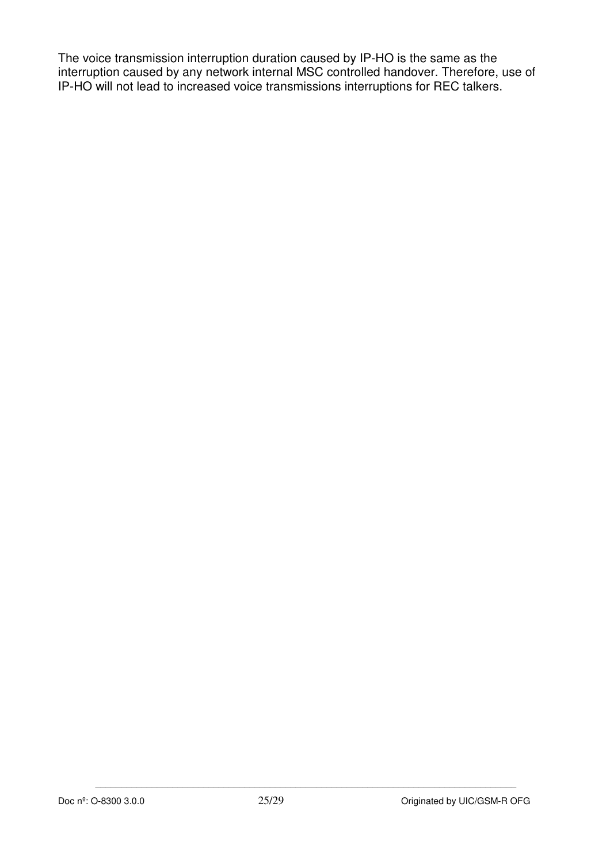The voice transmission interruption duration caused by IP-HO is the same as the interruption caused by any network internal MSC controlled handover. Therefore, use of IP-HO will not lead to increased voice transmissions interruptions for REC talkers.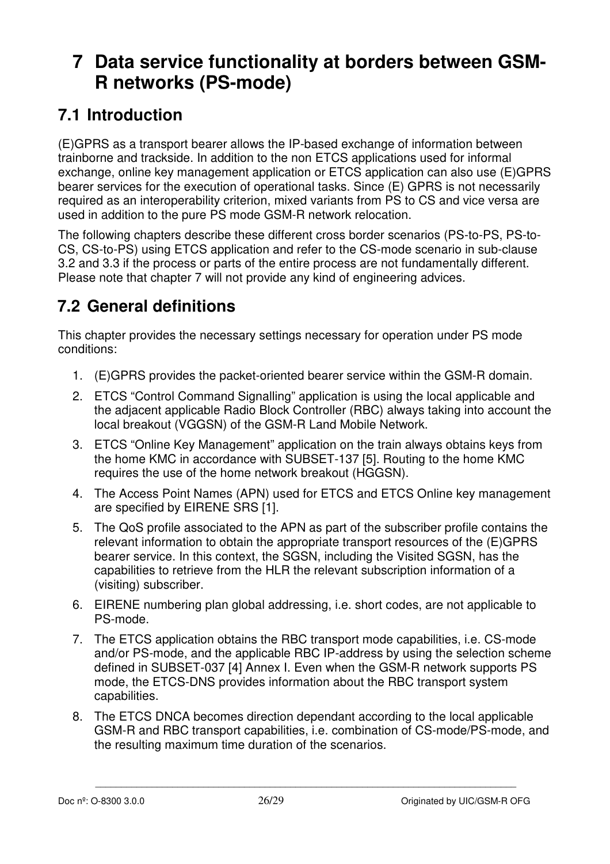# **7 Data service functionality at borders between GSM-R networks (PS-mode)**

## **7.1 Introduction**

(E)GPRS as a transport bearer allows the IP-based exchange of information between trainborne and trackside. In addition to the non ETCS applications used for informal exchange, online key management application or ETCS application can also use (E)GPRS bearer services for the execution of operational tasks. Since (E) GPRS is not necessarily required as an interoperability criterion, mixed variants from PS to CS and vice versa are used in addition to the pure PS mode GSM-R network relocation.

The following chapters describe these different cross border scenarios (PS-to-PS, PS-to-CS, CS-to-PS) using ETCS application and refer to the CS-mode scenario in sub-clause 3.2 and 3.3 if the process or parts of the entire process are not fundamentally different. Please note that chapter 7 will not provide any kind of engineering advices.

## **7.2 General definitions**

This chapter provides the necessary settings necessary for operation under PS mode conditions:

- 1. (E)GPRS provides the packet-oriented bearer service within the GSM-R domain.
- 2. ETCS "Control Command Signalling" application is using the local applicable and the adjacent applicable Radio Block Controller (RBC) always taking into account the local breakout (VGGSN) of the GSM-R Land Mobile Network.
- 3. ETCS "Online Key Management" application on the train always obtains keys from the home KMC in accordance with SUBSET-137 [5]. Routing to the home KMC requires the use of the home network breakout (HGGSN).
- 4. The Access Point Names (APN) used for ETCS and ETCS Online key management are specified by EIRENE SRS [1].
- 5. The QoS profile associated to the APN as part of the subscriber profile contains the relevant information to obtain the appropriate transport resources of the (E)GPRS bearer service. In this context, the SGSN, including the Visited SGSN, has the capabilities to retrieve from the HLR the relevant subscription information of a (visiting) subscriber.
- 6. EIRENE numbering plan global addressing, i.e. short codes, are not applicable to PS-mode.
- 7. The ETCS application obtains the RBC transport mode capabilities, i.e. CS-mode and/or PS-mode, and the applicable RBC IP-address by using the selection scheme defined in SUBSET-037 [4] Annex I. Even when the GSM-R network supports PS mode, the ETCS-DNS provides information about the RBC transport system capabilities.
- 8. The ETCS DNCA becomes direction dependant according to the local applicable GSM-R and RBC transport capabilities, i.e. combination of CS-mode/PS-mode, and the resulting maximum time duration of the scenarios.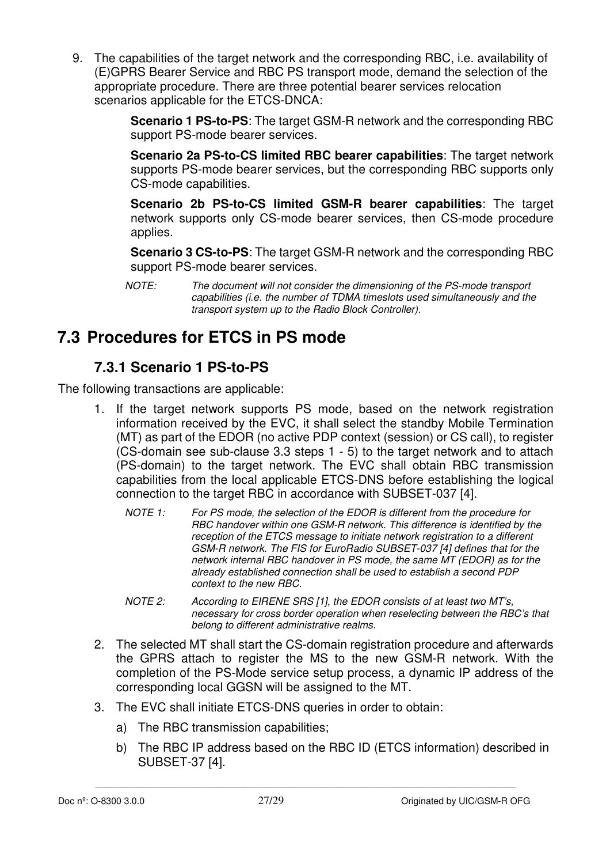9. The capabilities of the target network and the corresponding RBC, i.e. availability of (E)GPRS Bearer Service and RBC PS transport mode, demand the selection of the appropriate procedure. There are three potential bearer services relocation scenarios applicable for the ETCS-DNCA:

> **Scenario 1 PS-to-PS**: The target GSM-R network and the corresponding RBC support PS-mode bearer services.

> **Scenario 2a PS-to-CS limited RBC bearer capabilities:** The target network supports PS-mode bearer services, but the corresponding RBC supports only CS-mode capabilities.

> **Scenario 2b PS-to-CS limited GSM-R bearer capabilities**: The target network supports only CS-mode bearer services, then CS-mode procedure applies.

> **Scenario 3 CS-to-PS**: The target GSM-R network and the corresponding RBC support PS-mode bearer services.

### **7.3 Procedures for ETCS in PS mode**

#### **7.3.1 Scenario 1 PS-to-PS**

The following transactions are applicable:

- 1. If the target network supports PS mode, based on the network registration information received by the EVC, it shall select the standby Mobile Termination (MT) as part of the EDOR (no active PDP context (session) or CS call), to register (CS-domain see sub-clause 3.3 steps 1 - 5) to the target network and to attach (PS-domain) to the target network. The EVC shall obtain RBC transmission capabilities from the local applicable ETCS-DNS before establishing the logical connection to the target RBC in accordance with SUBSET-037 [4].
	- *NOTE 1: For PS mode, the selection of the EDOR is different from the procedure for RBC handover within one GSM-R network. This difference is identified by the reception of the ETCS message to initiate network registration to a different GSM-R network. The FIS for EuroRadio SUBSET-037 [4] defines that for the network internal RBC handover in PS mode, the same MT (EDOR) as for the already established connection shall be used to establish a second PDP context to the new RBC.*
	- *NOTE 2: According to EIRENE SRS [1], the EDOR consists of at least two MT's, necessary for cross border operation when reselecting between the RBC's that belong to different administrative realms.*
- 2. The selected MT shall start the CS-domain registration procedure and afterwards the GPRS attach to register the MS to the new GSM-R network. With the completion of the PS-Mode service setup process, a dynamic IP address of the corresponding local GGSN will be assigned to the MT.
- 3. The EVC shall initiate ETCS-DNS queries in order to obtain:
	- a) The RBC transmission capabilities;
	- b) The RBC IP address based on the RBC ID (ETCS information) described in SUBSET-37 [4].

*NOTE: The document will not consider the dimensioning of the PS-mode transport capabilities (i.e. the number of TDMA timeslots used simultaneously and the transport system up to the Radio Block Controller).*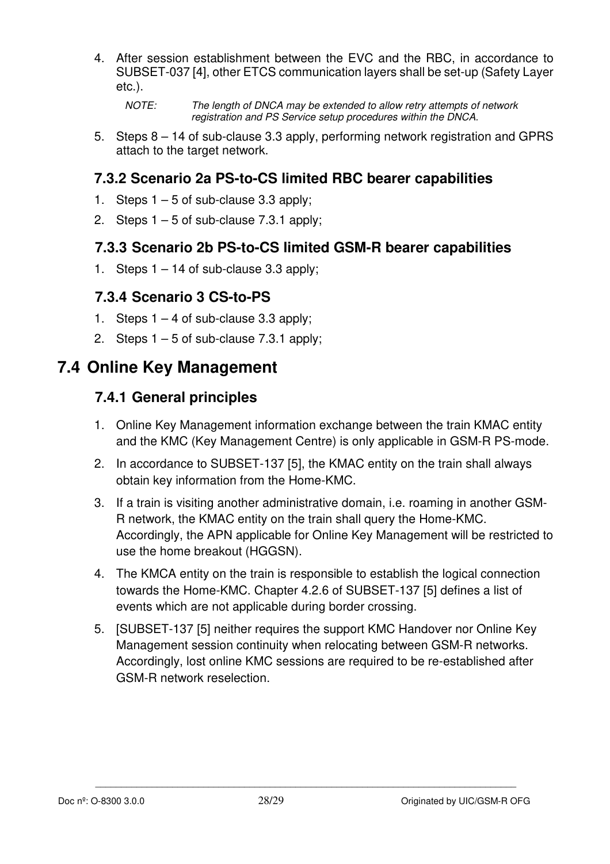4. After session establishment between the EVC and the RBC, in accordance to SUBSET-037 [4], other ETCS communication layers shall be set-up (Safety Layer etc.).

5. Steps 8 – 14 of sub-clause 3.3 apply, performing network registration and GPRS attach to the target network.

#### **7.3.2 Scenario 2a PS-to-CS limited RBC bearer capabilities**

- 1. Steps 1 5 of sub-clause 3.3 apply;
- 2. Steps  $1 5$  of sub-clause  $7.3.1$  apply:

#### **7.3.3 Scenario 2b PS-to-CS limited GSM-R bearer capabilities**

1. Steps 1 – 14 of sub-clause 3.3 apply;

#### **7.3.4 Scenario 3 CS-to-PS**

- 1. Steps  $1 4$  of sub-clause 3.3 apply;
- 2. Steps  $1 5$  of sub-clause 7.3.1 apply;

#### **7.4 Online Key Management**

#### **7.4.1 General principles**

- 1. Online Key Management information exchange between the train KMAC entity and the KMC (Key Management Centre) is only applicable in GSM-R PS-mode.
- 2. In accordance to SUBSET-137 [5], the KMAC entity on the train shall always obtain key information from the Home-KMC.
- 3. If a train is visiting another administrative domain, i.e. roaming in another GSM-R network, the KMAC entity on the train shall query the Home-KMC. Accordingly, the APN applicable for Online Key Management will be restricted to use the home breakout (HGGSN).
- 4. The KMCA entity on the train is responsible to establish the logical connection towards the Home-KMC. Chapter 4.2.6 of SUBSET-137 [5] defines a list of events which are not applicable during border crossing.
- 5. [SUBSET-137 [5] neither requires the support KMC Handover nor Online Key Management session continuity when relocating between GSM-R networks. Accordingly, lost online KMC sessions are required to be re-established after GSM-R network reselection.

*NOTE: The length of DNCA may be extended to allow retry attempts of network registration and PS Service setup procedures within the DNCA.*